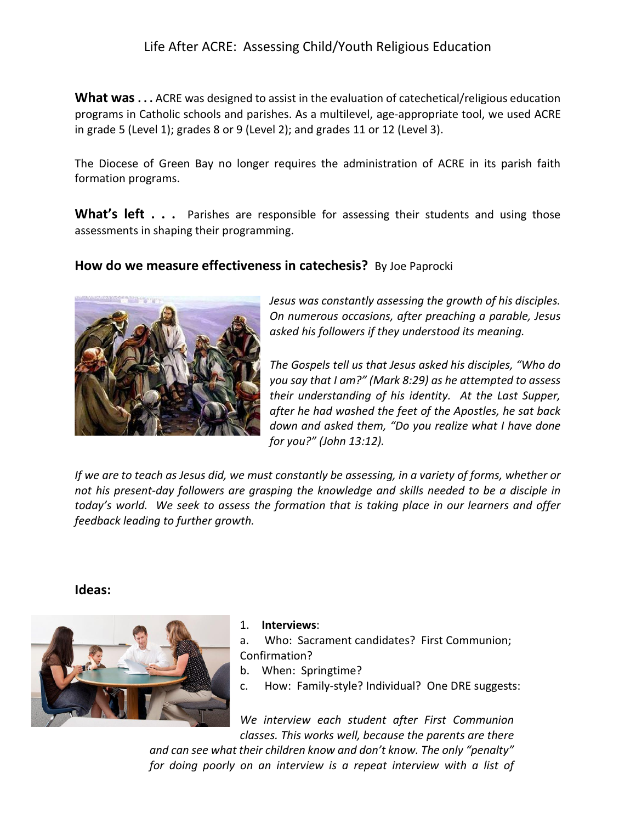## Life After ACRE: Assessing Child/Youth Religious Education

**What was . . .** ACRE was designed to assist in the evaluation of catechetical/religious education programs in Catholic schools and parishes. As a multilevel, age-appropriate tool, we used ACRE in grade 5 (Level 1); grades 8 or 9 (Level 2); and grades 11 or 12 (Level 3).

The Diocese of Green Bay no longer requires the administration of ACRE in its parish faith formation programs.

**What's left...** Parishes are responsible for assessing their students and using those assessments in shaping their programming.

## **How do we measure effectiveness in catechesis?** By Joe Paprocki



*Jesus was constantly assessing the growth of his disciples. On numerous occasions, after preaching a parable, Jesus asked his followers if they understood its meaning.* 

*The Gospels tell us that Jesus asked his disciples, "Who do you say that I am?" (Mark 8:29) as he attempted to assess their understanding of his identity. At the Last Supper, after he had washed the feet of the Apostles, he sat back down and asked them, "Do you realize what I have done for you?" (John 13:12).* 

*If we are to teach as Jesus did, we must constantly be assessing, in a variety of forms, whether or not his present-day followers are grasping the knowledge and skills needed to be a disciple in today's world. We seek to assess the formation that is taking place in our learners and offer feedback leading to further growth.*

**Ideas:**



## 1. **Interviews**:

- a. Who: Sacrament candidates? First Communion; Confirmation?
- b. When: Springtime?
- c. How: Family-style? Individual? One DRE suggests:

*We interview each student after First Communion classes. This works well, because the parents are there* 

*and can see what their children know and don't know. The only "penalty" for doing poorly on an interview is a repeat interview with a list of*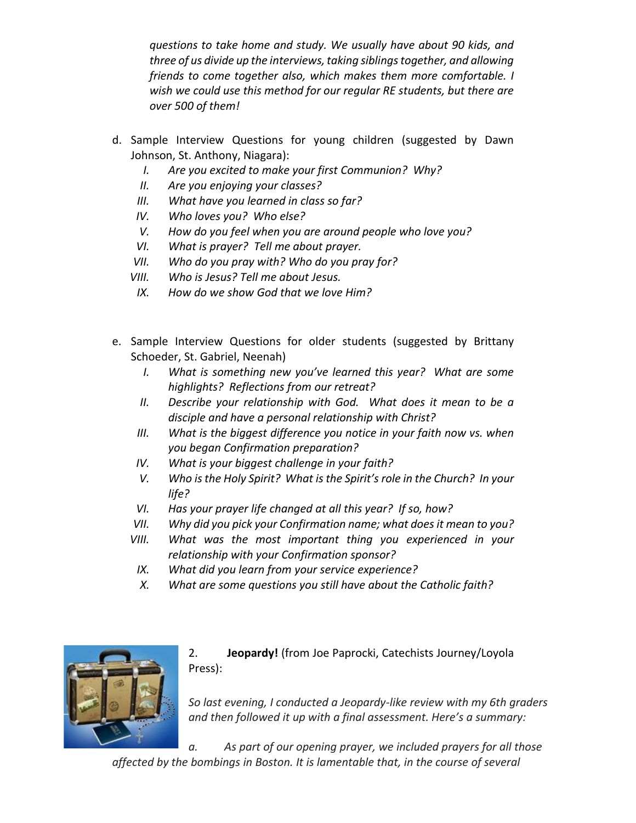*questions to take home and study. We usually have about 90 kids, and three of us divide up the interviews, taking siblings together, and allowing friends to come together also, which makes them more comfortable. I wish we could use this method for our regular RE students, but there are over 500 of them!*

- d. Sample Interview Questions for young children (suggested by Dawn Johnson, St. Anthony, Niagara):
	- *I. Are you excited to make your first Communion? Why?*
	- *II. Are you enjoying your classes?*
	- *III. What have you learned in class so far?*
	- *IV. Who loves you? Who else?*
	- *V. How do you feel when you are around people who love you?*
	- *VI. What is prayer? Tell me about prayer.*
	- *VII. Who do you pray with? Who do you pray for?*
	- *VIII. Who is Jesus? Tell me about Jesus.*
	- *IX. How do we show God that we love Him?*
- e. Sample Interview Questions for older students (suggested by Brittany Schoeder, St. Gabriel, Neenah)
	- *I. What is something new you've learned this year? What are some highlights? Reflections from our retreat?*
	- *II. Describe your relationship with God. What does it mean to be a disciple and have a personal relationship with Christ?*
	- *III. What is the biggest difference you notice in your faith now vs. when you began Confirmation preparation?*
	- *IV. What is your biggest challenge in your faith?*
	- *V. Who is the Holy Spirit? What is the Spirit's role in the Church? In your life?*
	- *VI. Has your prayer life changed at all this year? If so, how?*
	- *VII. Why did you pick your Confirmation name; what does it mean to you?*
	- *VIII. What was the most important thing you experienced in your relationship with your Confirmation sponsor?*
	- *IX. What did you learn from your service experience?*
	- *X. What are some questions you still have about the Catholic faith?*



2. **Jeopardy!** (from Joe Paprocki, Catechists Journey/Loyola Press):

*So last evening, I conducted a Jeopardy-like review with my 6th graders and then followed it up with a final assessment. Here's a summary:*

*a. As part of our opening prayer, we included prayers for all those affected by the bombings in Boston. It is lamentable that, in the course of several*